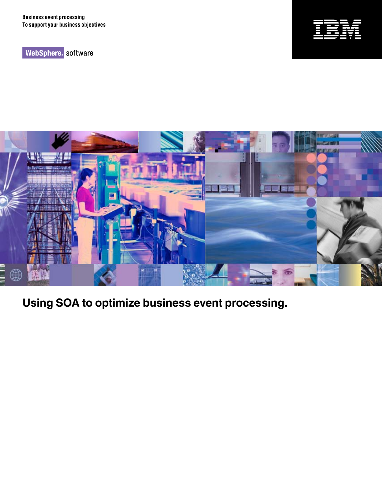WebSphere. software





**Using SOA to optimize business event processing.**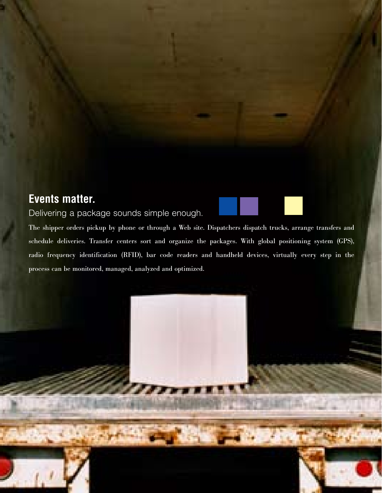# **Events matter.**

## Delivering a package sounds simple enough.

The shipper orders pickup by phone or through a Web site. Dispatchers dispatch trucks, arrange transfers and schedule deliveries. Transfer centers sort and organize the packages. With global positioning system (GPS), radio frequency identification (RFID), bar code readers and handheld devices, virtually every step in the process can be monitored, managed, analyzed and optimized.

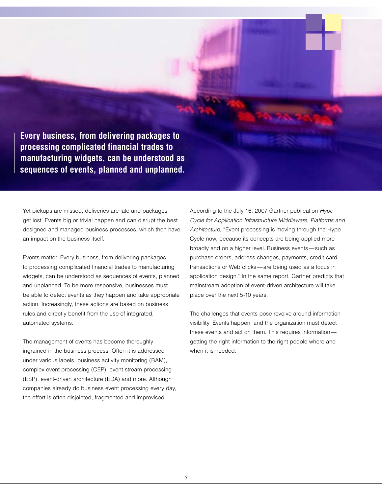**Every business, from delivering packages to processing complicated financial trades to manufacturing widgets, can be understood as sequences of events, planned and unplanned.**

Yet pickups are missed, deliveries are late and packages get lost. Events big or trivial happen and can disrupt the best designed and managed business processes, which then have an impact on the business itself.

Events matter. Every business, from delivering packages to processing complicated financial trades to manufacturing widgets, can be understood as sequences of events, planned and unplanned. To be more responsive, businesses must be able to detect events as they happen and take appropriate action. Increasingly, these actions are based on business rules and directly benefit from the use of integrated, automated systems.

The management of events has become thoroughly ingrained in the business process. Often it is addressed under various labels: business activity monitoring (BAM), complex event processing (CEP), event stream processing (ESP), event-driven architecture (EDA) and more. Although companies already do business event processing every day, the effort is often disjointed, fragmented and improvised.

According to the July 16, 2007 Gartner publication *Hype Cycle for Application Infrastructure Middleware, Platforms and Architecture*, "Event processing is moving through the Hype Cycle now, because its concepts are being applied more broadly and on a higher level. Business events—such as purchase orders, address changes, payments, credit card transactions or Web clicks—are being used as a focus in application design." In the same report, Gartner predicts that mainstream adoption of event-driven architecture will take place over the next 5-10 years.

The challenges that events pose revolve around information visibility. Events happen, and the organization must detect these events and act on them. This requires information getting the right information to the right people where and when it is needed.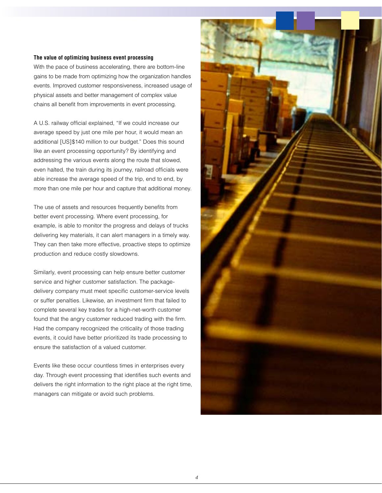### **The value of optimizing business event processing**

With the pace of business accelerating, there are bottom-line gains to be made from optimizing how the organization handles events. Improved customer responsiveness, increased usage of physical assets and better management of complex value chains all benefit from improvements in event processing.

A U.S. railway official explained, "If we could increase our average speed by just one mile per hour, it would mean an additional [US]\$140 million to our budget." Does this sound like an event processing opportunity? By identifying and addressing the various events along the route that slowed, even halted, the train during its journey, railroad officials were able increase the average speed of the trip, end to end, by more than one mile per hour and capture that additional money.

The use of assets and resources frequently benefits from better event processing. Where event processing, for example, is able to monitor the progress and delays of trucks delivering key materials, it can alert managers in a timely way. They can then take more effective, proactive steps to optimize production and reduce costly slowdowns.

Similarly, event processing can help ensure better customer service and higher customer satisfaction. The packagedelivery company must meet specific customer-service levels or suffer penalties. Likewise, an investment firm that failed to complete several key trades for a high-net-worth customer found that the angry customer reduced trading with the firm. Had the company recognized the criticality of those trading events, it could have better prioritized its trade processing to ensure the satisfaction of a valued customer.

Events like these occur countless times in enterprises every day. Through event processing that identifies such events and delivers the right information to the right place at the right time, managers can mitigate or avoid such problems.

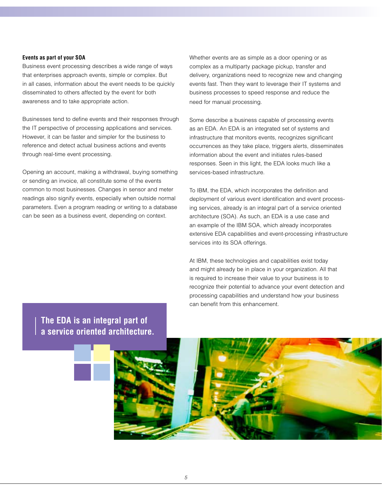#### **Events as part of your SOA**

Business event processing describes a wide range of ways that enterprises approach events, simple or complex. But in all cases, information about the event needs to be quickly disseminated to others affected by the event for both awareness and to take appropriate action.

Businesses tend to define events and their responses through the IT perspective of processing applications and services. However, it can be faster and simpler for the business to reference and detect actual business actions and events through real-time event processing.

Opening an account, making a withdrawal, buying something or sending an invoice, all constitute some of the events common to most businesses. Changes in sensor and meter readings also signify events, especially when outside normal parameters. Even a program reading or writing to a database can be seen as a business event, depending on context.

Whether events are as simple as a door opening or as complex as a multiparty package pickup, transfer and delivery, organizations need to recognize new and changing events fast. Then they want to leverage their IT systems and business processes to speed response and reduce the need for manual processing.

Some describe a business capable of processing events as an EDA. An EDA is an integrated set of systems and infrastructure that monitors events, recognizes significant occurrences as they take place, triggers alerts, disseminates information about the event and initiates rules-based responses. Seen in this light, the EDA looks much like a services-based infrastructure.

To IBM, the EDA, which incorporates the definition and deployment of various event identification and event processing services, already is an integral part of a service oriented architecture (SOA). As such, an EDA is a use case and an example of the IBM SOA, which already incorporates extensive EDA capabilities and event-processing infrastructure services into its SOA offerings.

At IBM, these technologies and capabilities exist today and might already be in place in your organization. All that is required to increase their value to your business is to recognize their potential to advance your event detection and processing capabilities and understand how your business can benefit from this enhancement.

**The EDA is an integral part of a service oriented architecture.**

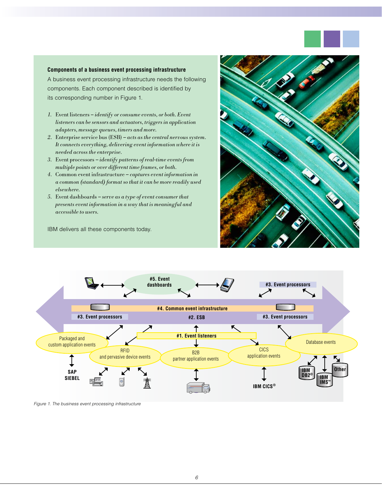

#### **Components of a business event processing infrastructure**

A business event processing infrastructure needs the following components. Each component described is identified by its corresponding number in Figure 1.

- 1. Event listeners identify or consume events, or both. Event listeners can be sensors and actuators, triggers in application adapters, message queues, timers and more.
- 2. Enterprise service bus  $(ESB) acts as the central nervous system.$ It connects everything, delivering event information where it is needed across the enterprise.
- 3. Event processors identify patterns of real-time events from multiple points or over different time frames, or both.
- 4. Common event infrastructure captures event information in a common (standard) format so that it can be more readily used elsewhere.
- 5. Event dashboards serve as a type of event consumer that presents event information in a way that is meaningful and accessible to users.

IBM delivers all these components today.





*Figure 1. The business event processing infrastructure*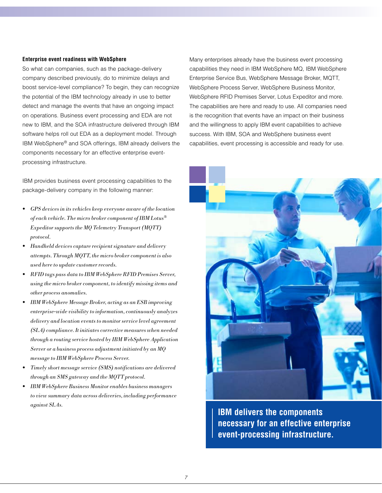#### **Enterprise event readiness with WebSphere**

So what can companies, such as the package-delivery company described previously, do to minimize delays and boost service-level compliance? To begin, they can recognize the potential of the IBM technology already in use to better detect and manage the events that have an ongoing impact on operations. Business event processing and EDA are not new to IBM, and the SOA infrastructure delivered through IBM software helps roll out EDA as a deployment model. Through IBM WebSphere® and SOA offerings, IBM already delivers the components necessary for an effective enterprise eventprocessing infrastructure.

IBM provides business event processing capabilities to the package-delivery company in the following manner:

- GPS devices in its vehicles keep everyone aware of the location of each vehicle. The micro broker component of IBM Lotus $^{\circledR}$ Expeditor supports the MQ Telemetry Transport (MQTT) protocol.
- • Handheld devices capture recipient signature and delivery attempts. Through MQTT, the micro broker component is also used here to update customer records.
- RFID tags pass data to IBM WebSphere RFID Premises Server, using the micro broker component, to identify missing items and other process anomalies.
- IBM WebSphere Message Broker, acting as an ESB improving enterprise-wide visibility to information, continuously analyzes delivery and location events to monitor service level agreement (SLA) compliance. It initiates corrective measures when needed through a routing service hosted by IBM WebSphere Application Server or a business process adjustment initiated by an MQ message to IBM WebSphere Process Server.
- Timely short message service (SMS) notifications are delivered through an SMS gateway and the MQTT protocol.
- • IBM WebSphere Business Monitor enables business managers to view summary data across deliveries, including performance against SLAs.

Many enterprises already have the business event processing capabilities they need in IBM WebSphere MQ, IBM WebSphere Enterprise Service Bus, WebSphere Message Broker, MQTT, WebSphere Process Server, WebSphere Business Monitor, WebSphere RFID Premises Server, Lotus Expeditor and more. The capabilities are here and ready to use. All companies need is the recognition that events have an impact on their business and the willingness to apply IBM event capabilities to achieve success. With IBM, SOA and WebSphere business event capabilities, event processing is accessible and ready for use.



**IBM delivers the components necessary for an effective enterprise event-processing infrastructure.**